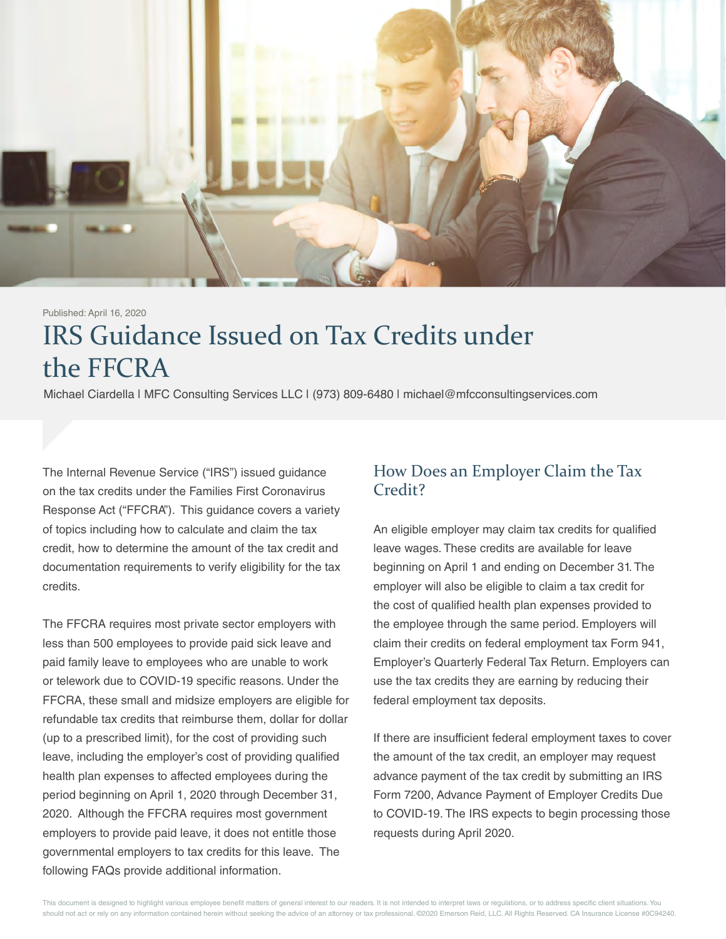

# IRS Guidance Issued on Tax Credits under the FFCRA Published: April 16, 2020

Michael Ciardella | MFC Consulting Services LLC | (973) 809-6480 | michael@mfcconsultingservices.com

The Internal Revenue Service ("IRS") issued guidance on the tax credits under the Families First Coronavirus Response Act ("FFCRA"). This guidance covers a variety of topics including how to calculate and claim the tax credit, how to determine the amount of the tax credit and documentation requirements to verify eligibility for the tax credits.

The FFCRA requires most private sector employers with less than 500 employees to provide paid sick leave and paid family leave to employees who are unable to work or telework due to COVID-19 specific reasons. Under the FFCRA, these small and midsize employers are eligible for refundable tax credits that reimburse them, dollar for dollar (up to a prescribed limit), for the cost of providing such leave, including the employer's cost of providing qualified health plan expenses to affected employees during the period beginning on April 1, 2020 through December 31, 2020. Although the FFCRA requires most government employers to provide paid leave, it does not entitle those governmental employers to tax credits for this leave. The following FAQs provide additional information.

#### How Does an Employer Claim the Tax Credit?

An eligible employer may claim tax credits for qualified leave wages. These credits are available for leave beginning on April 1 and ending on December 31. The employer will also be eligible to claim a tax credit for the cost of qualified health plan expenses provided to the employee through the same period. Employers will claim their credits on federal employment tax Form 941, Employer's Quarterly Federal Tax Return. Employers can use the tax credits they are earning by reducing their federal employment tax deposits.

If there are insufficient federal employment taxes to cover the amount of the tax credit, an employer may request advance payment of the tax credit by submitting an IRS Form 7200, Advance Payment of Employer Credits Due to COVID-19. The IRS expects to begin processing those requests during April 2020.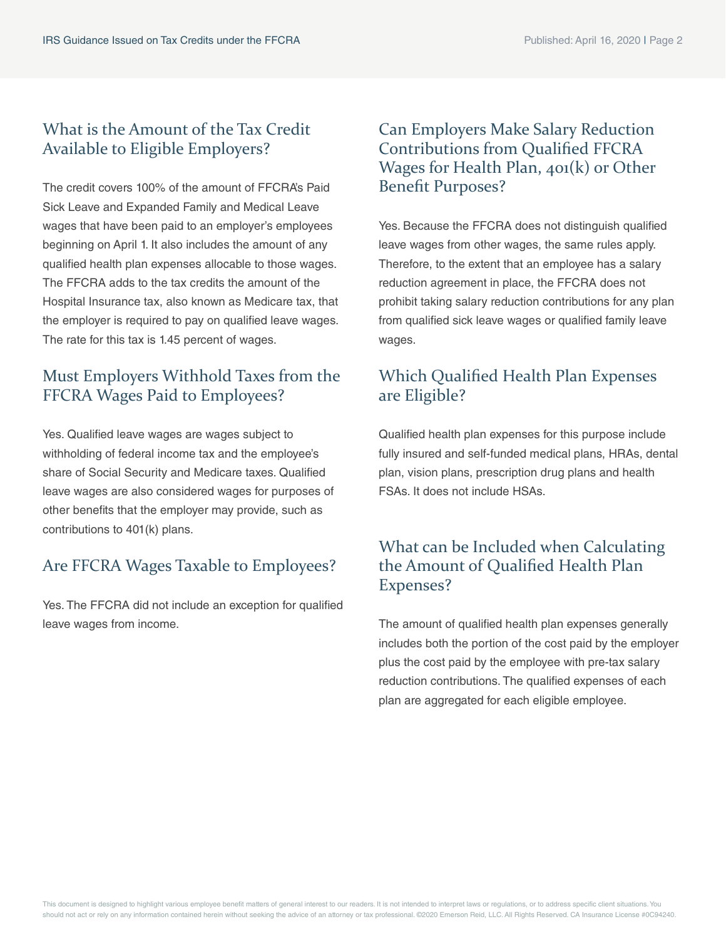#### What is the Amount of the Tax Credit Available to Eligible Employers?

The credit covers 100% of the amount of FFCRA's Paid Sick Leave and Expanded Family and Medical Leave wages that have been paid to an employer's employees beginning on April 1. It also includes the amount of any qualified health plan expenses allocable to those wages. The FFCRA adds to the tax credits the amount of the Hospital Insurance tax, also known as Medicare tax, that the employer is required to pay on qualified leave wages. The rate for this tax is 1.45 percent of wages.

### Must Employers Withhold Taxes from the FFCRA Wages Paid to Employees?

Yes. Qualified leave wages are wages subject to withholding of federal income tax and the employee's share of Social Security and Medicare taxes. Qualified leave wages are also considered wages for purposes of other benefits that the employer may provide, such as contributions to 401(k) plans.

## Are FFCRA Wages Taxable to Employees?

Yes. The FFCRA did not include an exception for qualified leave wages from income.

#### Can Employers Make Salary Reduction Contributions from Qualified FFCRA Wages for Health Plan, 401(k) or Other Benefit Purposes?

Yes. Because the FFCRA does not distinguish qualified leave wages from other wages, the same rules apply. Therefore, to the extent that an employee has a salary reduction agreement in place, the FFCRA does not prohibit taking salary reduction contributions for any plan from qualified sick leave wages or qualified family leave wages.

#### Which Qualified Health Plan Expenses are Eligible?

Qualified health plan expenses for this purpose include fully insured and self-funded medical plans, HRAs, dental plan, vision plans, prescription drug plans and health FSAs. It does not include HSAs.

#### What can be Included when Calculating the Amount of Qualified Health Plan Expenses?

The amount of qualified health plan expenses generally includes both the portion of the cost paid by the employer plus the cost paid by the employee with pre-tax salary reduction contributions. The qualified expenses of each plan are aggregated for each eligible employee.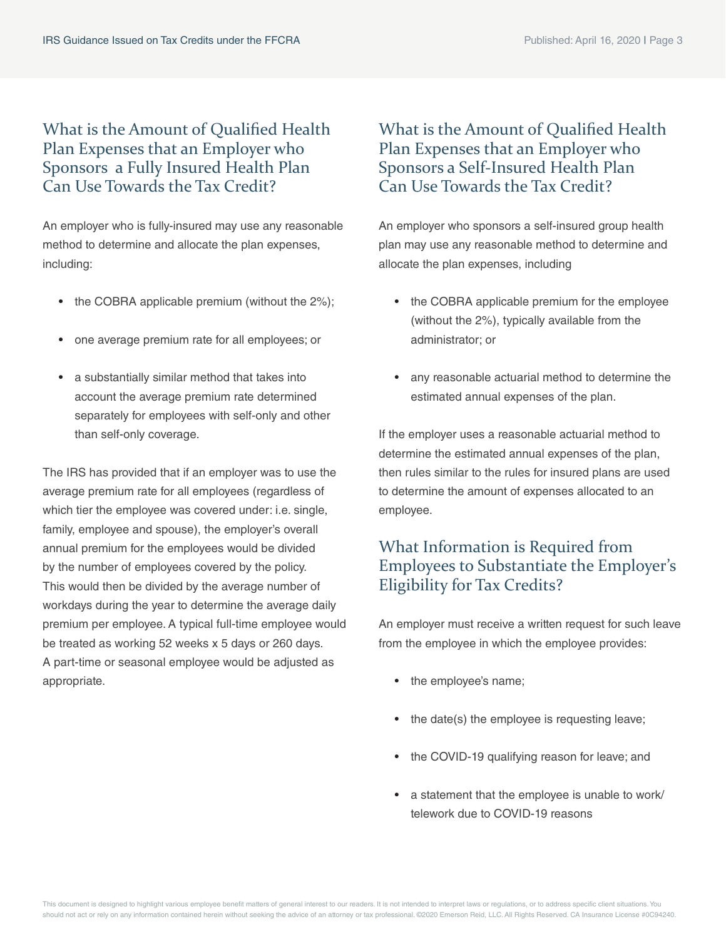#### What is the Amount of Qualified Health Plan Expenses that an Employer who Sponsors a Fully Insured Health Plan Can Use Towards the Tax Credit?

An employer who is fully-insured may use any reasonable method to determine and allocate the plan expenses, including:

- the COBRA applicable premium (without the 2%);
- one average premium rate for all employees; or
- a substantially similar method that takes into account the average premium rate determined separately for employees with self-only and other than self-only coverage.

The IRS has provided that if an employer was to use the average premium rate for all employees (regardless of which tier the employee was covered under: i.e. single, family, employee and spouse), the employer's overall annual premium for the employees would be divided by the number of employees covered by the policy. This would then be divided by the average number of workdays during the year to determine the average daily premium per employee. A typical full-time employee would be treated as working 52 weeks x 5 days or 260 days. A part-time or seasonal employee would be adjusted as appropriate.

#### What is the Amount of Qualified Health Plan Expenses that an Employer who Sponsors a Self-Insured Health Plan Can Use Towards the Tax Credit?

An employer who sponsors a self-insured group health plan may use any reasonable method to determine and allocate the plan expenses, including

- the COBRA applicable premium for the employee (without the 2%), typically available from the administrator; or
- any reasonable actuarial method to determine the estimated annual expenses of the plan.

If the employer uses a reasonable actuarial method to determine the estimated annual expenses of the plan, then rules similar to the rules for insured plans are used to determine the amount of expenses allocated to an employee.

### What Information is Required from Employees to Substantiate the Employer's Eligibility for Tax Credits?

An employer must receive a written request for such leave from the employee in which the employee provides:

- the employee's name;
- the date(s) the employee is requesting leave;
- the COVID-19 qualifying reason for leave; and
- a statement that the employee is unable to work/ telework due to COVID-19 reasons